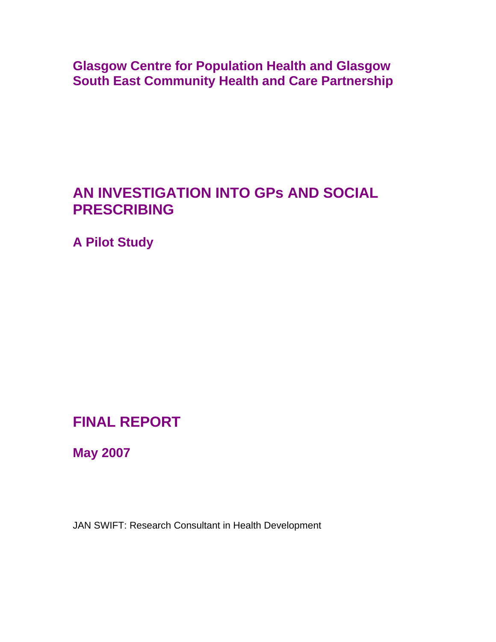**Glasgow Centre for Population Health and Glasgow South East Community Health and Care Partnership** 

# **AN INVESTIGATION INTO GPs AND SOCIAL PRESCRIBING**

**A Pilot Study** 

# **FINAL REPORT**

**May 2007** 

JAN SWIFT: Research Consultant in Health Development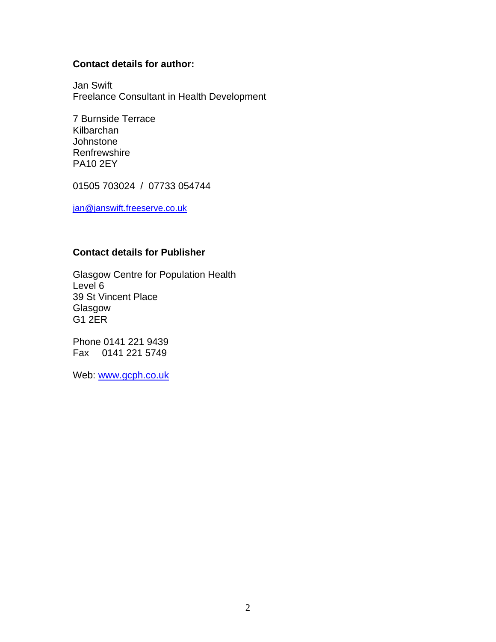### **Contact details for author:**

Jan Swift Freelance Consultant in Health Development

7 Burnside Terrace Kilbarchan **Johnstone Renfrewshire** PA10 2EY

01505 703024 / 07733 054744

[jan@janswift.freeserve.co.uk](mailto:jan@janswift.freeserve.co.uk)

#### **Contact details for Publisher**

Glasgow Centre for Population Health Level 6 39 St Vincent Place Glasgow G1 2ER

Phone 0141 221 9439 Fax 0141 221 5749

Web: [www.gcph.co.uk](http://www.gcph.co.uk/)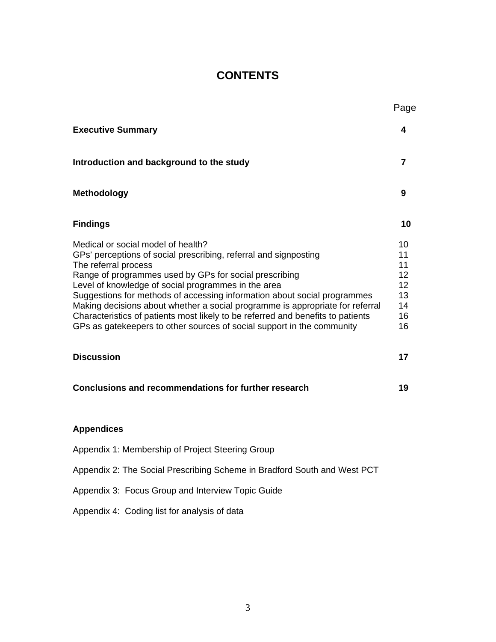# **CONTENTS**

|                                                                                                                                                                                                                                                                                                                                                                                                                                                                                                                                                                                                                                                        | Page                                                           |
|--------------------------------------------------------------------------------------------------------------------------------------------------------------------------------------------------------------------------------------------------------------------------------------------------------------------------------------------------------------------------------------------------------------------------------------------------------------------------------------------------------------------------------------------------------------------------------------------------------------------------------------------------------|----------------------------------------------------------------|
| <b>Executive Summary</b>                                                                                                                                                                                                                                                                                                                                                                                                                                                                                                                                                                                                                               | 4                                                              |
| Introduction and background to the study                                                                                                                                                                                                                                                                                                                                                                                                                                                                                                                                                                                                               | $\overline{7}$                                                 |
| <b>Methodology</b>                                                                                                                                                                                                                                                                                                                                                                                                                                                                                                                                                                                                                                     | 9                                                              |
| <b>Findings</b>                                                                                                                                                                                                                                                                                                                                                                                                                                                                                                                                                                                                                                        | 10                                                             |
| Medical or social model of health?<br>GPs' perceptions of social prescribing, referral and signposting<br>The referral process<br>Range of programmes used by GPs for social prescribing<br>Level of knowledge of social programmes in the area<br>Suggestions for methods of accessing information about social programmes<br>Making decisions about whether a social programme is appropriate for referral<br>Characteristics of patients most likely to be referred and benefits to patients<br>GPs as gatekeepers to other sources of social support in the community<br><b>Discussion</b><br>Conclusions and recommendations for further research | 10<br>11<br>11<br>12<br>12<br>13<br>14<br>16<br>16<br>17<br>19 |
| <b>Appendices</b><br>Appendix 1: Membership of Project Steering Group                                                                                                                                                                                                                                                                                                                                                                                                                                                                                                                                                                                  |                                                                |
| Appendix 2: The Social Prescribing Scheme in Bradford South and West PCT                                                                                                                                                                                                                                                                                                                                                                                                                                                                                                                                                                               |                                                                |
| Appendix 3: Focus Group and Interview Topic Guide                                                                                                                                                                                                                                                                                                                                                                                                                                                                                                                                                                                                      |                                                                |
| Appendix 4: Coding list for analysis of data                                                                                                                                                                                                                                                                                                                                                                                                                                                                                                                                                                                                           |                                                                |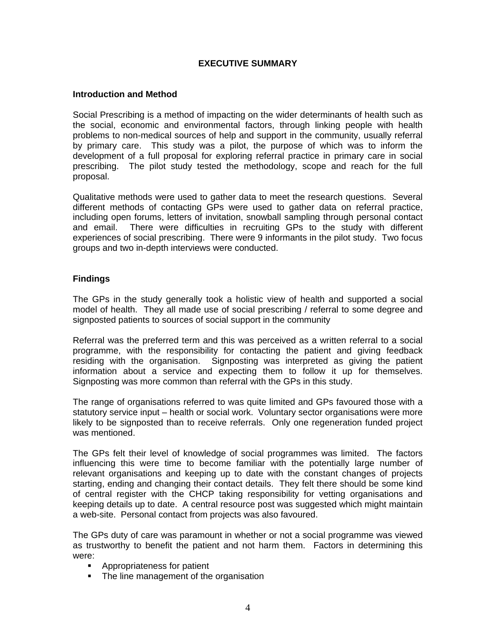#### **EXECUTIVE SUMMARY**

#### **Introduction and Method**

Social Prescribing is a method of impacting on the wider determinants of health such as the social, economic and environmental factors, through linking people with health problems to non-medical sources of help and support in the community, usually referral by primary care. This study was a pilot, the purpose of which was to inform the development of a full proposal for exploring referral practice in primary care in social prescribing. The pilot study tested the methodology, scope and reach for the full proposal.

Qualitative methods were used to gather data to meet the research questions. Several different methods of contacting GPs were used to gather data on referral practice, including open forums, letters of invitation, snowball sampling through personal contact and email. There were difficulties in recruiting GPs to the study with different experiences of social prescribing. There were 9 informants in the pilot study. Two focus groups and two in-depth interviews were conducted.

#### **Findings**

The GPs in the study generally took a holistic view of health and supported a social model of health. They all made use of social prescribing / referral to some degree and signposted patients to sources of social support in the community

Referral was the preferred term and this was perceived as a written referral to a social programme, with the responsibility for contacting the patient and giving feedback residing with the organisation. Signposting was interpreted as giving the patient information about a service and expecting them to follow it up for themselves. Signposting was more common than referral with the GPs in this study.

The range of organisations referred to was quite limited and GPs favoured those with a statutory service input – health or social work. Voluntary sector organisations were more likely to be signposted than to receive referrals. Only one regeneration funded project was mentioned.

The GPs felt their level of knowledge of social programmes was limited. The factors influencing this were time to become familiar with the potentially large number of relevant organisations and keeping up to date with the constant changes of projects starting, ending and changing their contact details. They felt there should be some kind of central register with the CHCP taking responsibility for vetting organisations and keeping details up to date. A central resource post was suggested which might maintain a web-site. Personal contact from projects was also favoured.

The GPs duty of care was paramount in whether or not a social programme was viewed as trustworthy to benefit the patient and not harm them. Factors in determining this were:

- **Appropriateness for patient**
- The line management of the organisation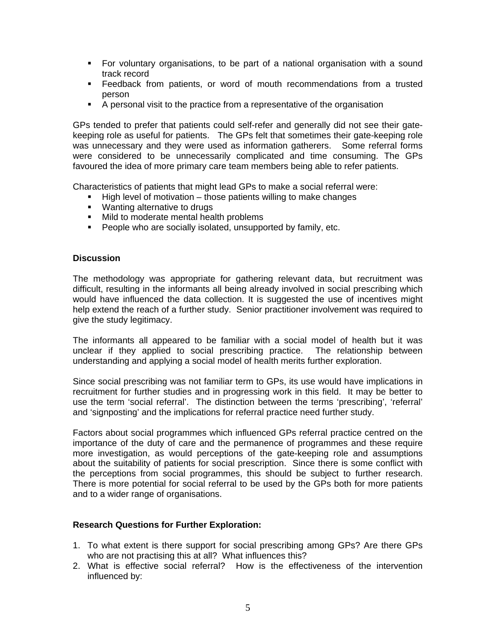- For voluntary organisations, to be part of a national organisation with a sound track record
- Feedback from patients, or word of mouth recommendations from a trusted person
- A personal visit to the practice from a representative of the organisation

GPs tended to prefer that patients could self-refer and generally did not see their gatekeeping role as useful for patients. The GPs felt that sometimes their gate-keeping role was unnecessary and they were used as information gatherers. Some referral forms were considered to be unnecessarily complicated and time consuming. The GPs favoured the idea of more primary care team members being able to refer patients.

Characteristics of patients that might lead GPs to make a social referral were:

- $\blacksquare$  High level of motivation those patients willing to make changes
- **Wanting alternative to drugs**
- **Mild to moderate mental health problems**
- **People who are socially isolated, unsupported by family, etc.**

#### **Discussion**

The methodology was appropriate for gathering relevant data, but recruitment was difficult, resulting in the informants all being already involved in social prescribing which would have influenced the data collection. It is suggested the use of incentives might help extend the reach of a further study. Senior practitioner involvement was required to give the study legitimacy.

The informants all appeared to be familiar with a social model of health but it was unclear if they applied to social prescribing practice. The relationship between understanding and applying a social model of health merits further exploration.

Since social prescribing was not familiar term to GPs, its use would have implications in recruitment for further studies and in progressing work in this field. It may be better to use the term 'social referral'. The distinction between the terms 'prescribing', 'referral' and 'signposting' and the implications for referral practice need further study.

Factors about social programmes which influenced GPs referral practice centred on the importance of the duty of care and the permanence of programmes and these require more investigation, as would perceptions of the gate-keeping role and assumptions about the suitability of patients for social prescription. Since there is some conflict with the perceptions from social programmes, this should be subject to further research. There is more potential for social referral to be used by the GPs both for more patients and to a wider range of organisations.

#### **Research Questions for Further Exploration:**

- 1. To what extent is there support for social prescribing among GPs? Are there GPs who are not practising this at all? What influences this?
- 2. What is effective social referral? How is the effectiveness of the intervention influenced by: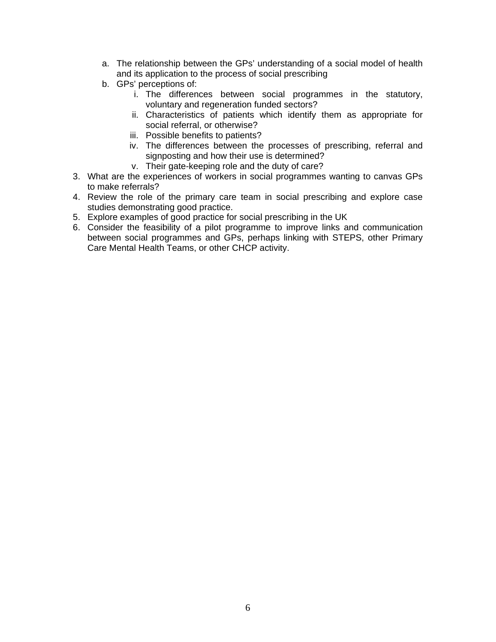- a. The relationship between the GPs' understanding of a social model of health and its application to the process of social prescribing
- b. GPs' perceptions of:
	- i. The differences between social programmes in the statutory, voluntary and regeneration funded sectors?
	- ii. Characteristics of patients which identify them as appropriate for social referral, or otherwise?
	- iii. Possible benefits to patients?
	- iv. The differences between the processes of prescribing, referral and signposting and how their use is determined?
	- v. Their gate-keeping role and the duty of care?
- 3. What are the experiences of workers in social programmes wanting to canvas GPs to make referrals?
- 4. Review the role of the primary care team in social prescribing and explore case studies demonstrating good practice.
- 5. Explore examples of good practice for social prescribing in the UK
- 6. Consider the feasibility of a pilot programme to improve links and communication between social programmes and GPs, perhaps linking with STEPS, other Primary Care Mental Health Teams, or other CHCP activity.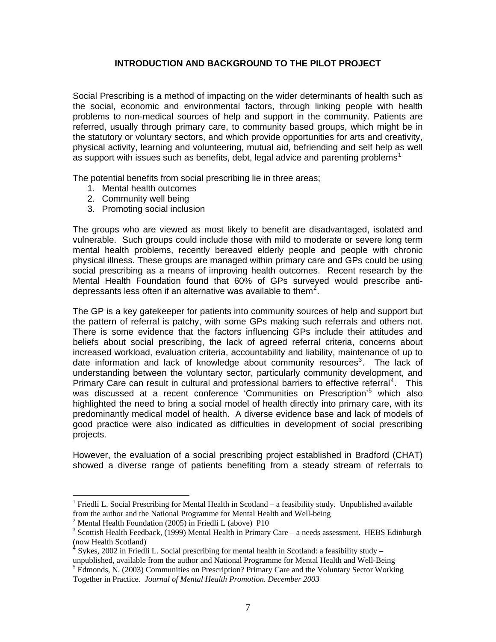#### **INTRODUCTION AND BACKGROUND TO THE PILOT PROJECT**

Social Prescribing is a method of impacting on the wider determinants of health such as the social, economic and environmental factors, through linking people with health problems to non-medical sources of help and support in the community. Patients are referred, usually through primary care, to community based groups, which might be in the statutory or voluntary sectors, and which provide opportunities for arts and creativity, physical activity, learning and volunteering, mutual aid, befriending and self help as well as support with issues such as benefits, debt, legal advice and parenting problems<sup>[1](#page-6-0)</sup>

The potential benefits from social prescribing lie in three areas;

- 1. Mental health outcomes
- 2. Community well being
- 3. Promoting social inclusion

The groups who are viewed as most likely to benefit are disadvantaged, isolated and vulnerable. Such groups could include those with mild to moderate or severe long term mental health problems, recently bereaved elderly people and people with chronic physical illness. These groups are managed within primary care and GPs could be using social prescribing as a means of improving health outcomes. Recent research by the Mental Health Foundation found that 60% of GPs surveyed would prescribe anti-depressants less often if an alternative was available to them<sup>[2](#page-6-1)</sup>.

The GP is a key gatekeeper for patients into community sources of help and support but the pattern of referral is patchy, with some GPs making such referrals and others not. There is some evidence that the factors influencing GPs include their attitudes and beliefs about social prescribing, the lack of agreed referral criteria, concerns about increased workload, evaluation criteria, accountability and liability, maintenance of up to date information and lack of knowledge about community resources<sup>[3](#page-6-2)</sup>. The lack of understanding between the voluntary sector, particularly community development, and Primary Care can result in cultural and professional barriers to effective referral<sup>[4](#page-6-3)</sup>. This was discussed at a recent conference 'Communities on Prescription'<sup>[5](#page-6-4)</sup> which also highlighted the need to bring a social model of health directly into primary care, with its predominantly medical model of health. A diverse evidence base and lack of models of good practice were also indicated as difficulties in development of social prescribing projects.

However, the evaluation of a social prescribing project established in Bradford (CHAT) showed a diverse range of patients benefiting from a steady stream of referrals to

 $\overline{a}$ 

<span id="page-6-0"></span><sup>&</sup>lt;sup>1</sup> Friedli L. Social Prescribing for Mental Health in Scotland – a feasibility study. Unpublished available from the author and the National Programme for Mental Health and Well-being

<sup>2</sup> Mental Health Foundation (2005) in Friedli L (above) P10

<span id="page-6-2"></span><span id="page-6-1"></span> $3$  Scottish Health Feedback, (1999) Mental Health in Primary Care – a needs assessment. HEBS Edinburgh (now Health Scotland)

<span id="page-6-3"></span>Sykes, 2002 in Friedli L. Social prescribing for mental health in Scotland: a feasibility study – unpublished, available from the author and National Programme for Mental Health and Well-Being

<span id="page-6-4"></span><sup>&</sup>lt;sup>5</sup> Edmonds, N. (2003) Communities on Prescription? Primary Care and the Voluntary Sector Working Together in Practice. *Journal of Mental Health Promotion. December 2003*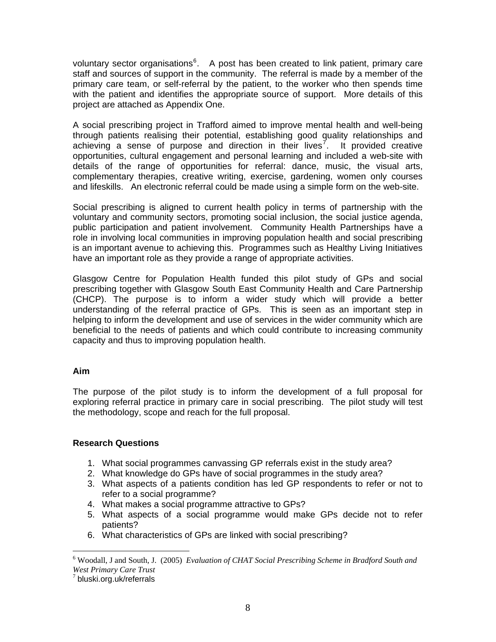voluntary sector organisations<sup>[6](#page-7-0)</sup>. A post has been created to link patient, primary care staff and sources of support in the community. The referral is made by a member of the primary care team, or self-referral by the patient, to the worker who then spends time with the patient and identifies the appropriate source of support. More details of this project are attached as Appendix One.

A social prescribing project in Trafford aimed to improve mental health and well-being through patients realising their potential, establishing good quality relationships and achieving a sense of purpose and direction in their lives<sup>[7](#page-7-1)</sup>. It provided creative opportunities, cultural engagement and personal learning and included a web-site with details of the range of opportunities for referral: dance, music, the visual arts, complementary therapies, creative writing, exercise, gardening, women only courses and lifeskills. An electronic referral could be made using a simple form on the web-site.

Social prescribing is aligned to current health policy in terms of partnership with the voluntary and community sectors, promoting social inclusion, the social justice agenda, public participation and patient involvement. Community Health Partnerships have a role in involving local communities in improving population health and social prescribing is an important avenue to achieving this. Programmes such as Healthy Living Initiatives have an important role as they provide a range of appropriate activities.

Glasgow Centre for Population Health funded this pilot study of GPs and social prescribing together with Glasgow South East Community Health and Care Partnership (CHCP). The purpose is to inform a wider study which will provide a better understanding of the referral practice of GPs. This is seen as an important step in helping to inform the development and use of services in the wider community which are beneficial to the needs of patients and which could contribute to increasing community capacity and thus to improving population health.

#### **Aim**

 $\overline{a}$ 

The purpose of the pilot study is to inform the development of a full proposal for exploring referral practice in primary care in social prescribing. The pilot study will test the methodology, scope and reach for the full proposal.

#### **Research Questions**

- 1. What social programmes canvassing GP referrals exist in the study area?
- 2. What knowledge do GPs have of social programmes in the study area?
- 3. What aspects of a patients condition has led GP respondents to refer or not to refer to a social programme?
- 4. What makes a social programme attractive to GPs?
- 5. What aspects of a social programme would make GPs decide not to refer patients?
- 6. What characteristics of GPs are linked with social prescribing?

<span id="page-7-0"></span><sup>6</sup> Woodall, J and South, J. (2005) *Evaluation of CHAT Social Prescribing Scheme in Bradford South and West Primary Care Trust* 

<span id="page-7-1"></span> $^7$  bluski.org.uk/referrals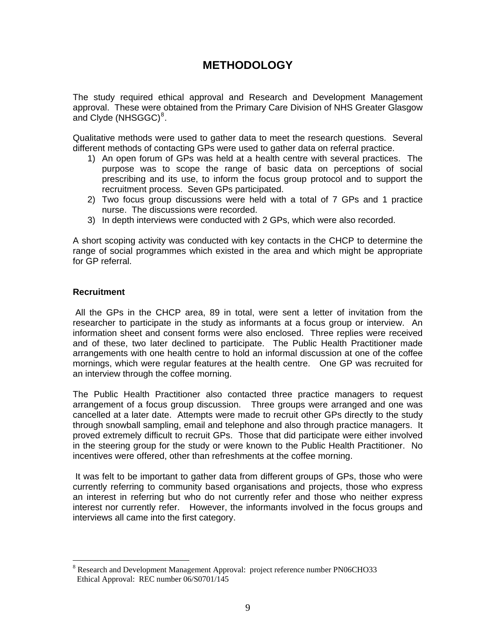# **METHODOLOGY**

The study required ethical approval and Research and Development Management approval. These were obtained from the Primary Care Division of NHS Greater Glasgow and Clyde (NHSGGC)<sup>[8](#page-8-0)</sup>.

Qualitative methods were used to gather data to meet the research questions. Several different methods of contacting GPs were used to gather data on referral practice.

- 1) An open forum of GPs was held at a health centre with several practices. The purpose was to scope the range of basic data on perceptions of social prescribing and its use, to inform the focus group protocol and to support the recruitment process. Seven GPs participated.
- 2) Two focus group discussions were held with a total of 7 GPs and 1 practice nurse. The discussions were recorded.
- 3) In depth interviews were conducted with 2 GPs, which were also recorded.

A short scoping activity was conducted with key contacts in the CHCP to determine the range of social programmes which existed in the area and which might be appropriate for GP referral.

#### **Recruitment**

 $\overline{a}$ 

 All the GPs in the CHCP area, 89 in total, were sent a letter of invitation from the researcher to participate in the study as informants at a focus group or interview. An information sheet and consent forms were also enclosed. Three replies were received and of these, two later declined to participate. The Public Health Practitioner made arrangements with one health centre to hold an informal discussion at one of the coffee mornings, which were regular features at the health centre. One GP was recruited for an interview through the coffee morning.

The Public Health Practitioner also contacted three practice managers to request arrangement of a focus group discussion. Three groups were arranged and one was cancelled at a later date. Attempts were made to recruit other GPs directly to the study through snowball sampling, email and telephone and also through practice managers. It proved extremely difficult to recruit GPs. Those that did participate were either involved in the steering group for the study or were known to the Public Health Practitioner. No incentives were offered, other than refreshments at the coffee morning.

 It was felt to be important to gather data from different groups of GPs, those who were currently referring to community based organisations and projects, those who express an interest in referring but who do not currently refer and those who neither express interest nor currently refer. However, the informants involved in the focus groups and interviews all came into the first category.

<span id="page-8-0"></span><sup>&</sup>lt;sup>8</sup> Research and Development Management Approval: project reference number PN06CHO33 Ethical Approval: REC number 06/S0701/145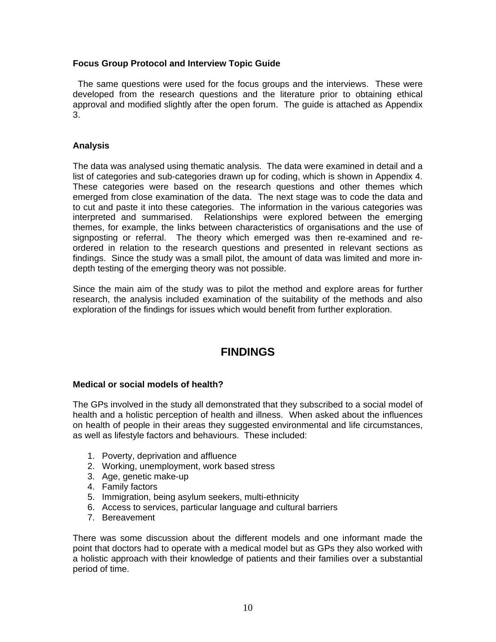#### **Focus Group Protocol and Interview Topic Guide**

The same questions were used for the focus groups and the interviews. These were developed from the research questions and the literature prior to obtaining ethical approval and modified slightly after the open forum. The guide is attached as Appendix 3.

#### **Analysis**

The data was analysed using thematic analysis. The data were examined in detail and a list of categories and sub-categories drawn up for coding, which is shown in Appendix 4. These categories were based on the research questions and other themes which emerged from close examination of the data. The next stage was to code the data and to cut and paste it into these categories. The information in the various categories was interpreted and summarised. Relationships were explored between the emerging themes, for example, the links between characteristics of organisations and the use of signposting or referral. The theory which emerged was then re-examined and reordered in relation to the research questions and presented in relevant sections as findings. Since the study was a small pilot, the amount of data was limited and more indepth testing of the emerging theory was not possible.

Since the main aim of the study was to pilot the method and explore areas for further research, the analysis included examination of the suitability of the methods and also exploration of the findings for issues which would benefit from further exploration.

## **FINDINGS**

#### **Medical or social models of health?**

The GPs involved in the study all demonstrated that they subscribed to a social model of health and a holistic perception of health and illness. When asked about the influences on health of people in their areas they suggested environmental and life circumstances, as well as lifestyle factors and behaviours. These included:

- 1. Poverty, deprivation and affluence
- 2. Working, unemployment, work based stress
- 3. Age, genetic make-up
- 4. Family factors
- 5. Immigration, being asylum seekers, multi-ethnicity
- 6. Access to services, particular language and cultural barriers
- 7. Bereavement

There was some discussion about the different models and one informant made the point that doctors had to operate with a medical model but as GPs they also worked with a holistic approach with their knowledge of patients and their families over a substantial period of time.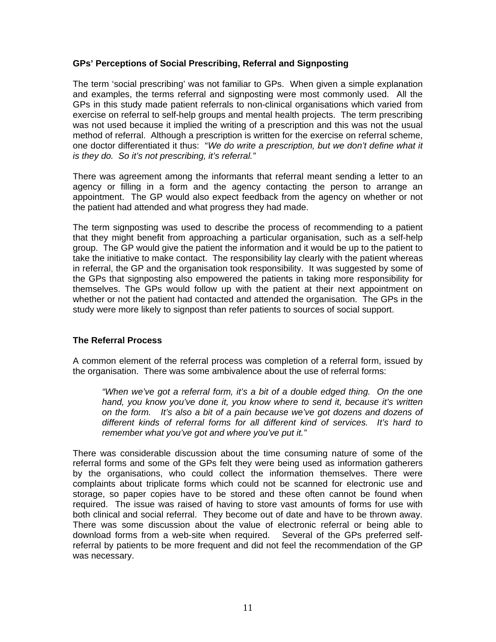#### **GPs' Perceptions of Social Prescribing, Referral and Signposting**

The term 'social prescribing' was not familiar to GPs. When given a simple explanation and examples, the terms referral and signposting were most commonly used. All the GPs in this study made patient referrals to non-clinical organisations which varied from exercise on referral to self-help groups and mental health projects. The term prescribing was not used because it implied the writing of a prescription and this was not the usual method of referral. Although a prescription is written for the exercise on referral scheme, one doctor differentiated it thus: "*We do write a prescription, but we don't define what it is they do. So it's not prescribing, it's referral."* 

There was agreement among the informants that referral meant sending a letter to an agency or filling in a form and the agency contacting the person to arrange an appointment. The GP would also expect feedback from the agency on whether or not the patient had attended and what progress they had made.

The term signposting was used to describe the process of recommending to a patient that they might benefit from approaching a particular organisation, such as a self-help group. The GP would give the patient the information and it would be up to the patient to take the initiative to make contact. The responsibility lay clearly with the patient whereas in referral, the GP and the organisation took responsibility. It was suggested by some of the GPs that signposting also empowered the patients in taking more responsibility for themselves. The GPs would follow up with the patient at their next appointment on whether or not the patient had contacted and attended the organisation. The GPs in the study were more likely to signpost than refer patients to sources of social support.

#### **The Referral Process**

A common element of the referral process was completion of a referral form, issued by the organisation. There was some ambivalence about the use of referral forms:

*"When we've got a referral form, it's a bit of a double edged thing. On the one hand, you know you've done it, you know where to send it, because it's written on the form. It's also a bit of a pain because we've got dozens and dozens of different kinds of referral forms for all different kind of services. It's hard to remember what you've got and where you've put it."* 

There was considerable discussion about the time consuming nature of some of the referral forms and some of the GPs felt they were being used as information gatherers by the organisations, who could collect the information themselves. There were complaints about triplicate forms which could not be scanned for electronic use and storage, so paper copies have to be stored and these often cannot be found when required. The issue was raised of having to store vast amounts of forms for use with both clinical and social referral. They become out of date and have to be thrown away. There was some discussion about the value of electronic referral or being able to download forms from a web-site when required. Several of the GPs preferred selfreferral by patients to be more frequent and did not feel the recommendation of the GP was necessary.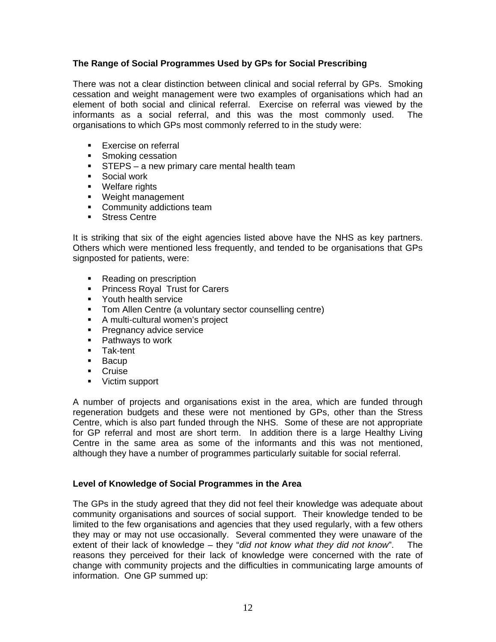#### **The Range of Social Programmes Used by GPs for Social Prescribing**

There was not a clear distinction between clinical and social referral by GPs. Smoking cessation and weight management were two examples of organisations which had an element of both social and clinical referral. Exercise on referral was viewed by the informants as a social referral, and this was the most commonly used. The organisations to which GPs most commonly referred to in the study were:

- **Exercise on referral**
- **Smoking cessation**
- **STEPS** a new primary care mental health team
- **Social work**
- **•** Welfare rights
- **Weight management**
- Community addictions team
- **Stress Centre**

It is striking that six of the eight agencies listed above have the NHS as key partners. Others which were mentioned less frequently, and tended to be organisations that GPs signposted for patients, were:

- Reading on prescription
- **Princess Royal Trust for Carers**
- **•** Youth health service
- Tom Allen Centre (a voluntary sector counselling centre)
- A multi-cultural women's project
- **Pregnancy advice service**
- **Pathways to work**
- **Tak-tent**
- **Bacup**
- Cruise
- **Victim support**

A number of projects and organisations exist in the area, which are funded through regeneration budgets and these were not mentioned by GPs, other than the Stress Centre, which is also part funded through the NHS. Some of these are not appropriate for GP referral and most are short term. In addition there is a large Healthy Living Centre in the same area as some of the informants and this was not mentioned, although they have a number of programmes particularly suitable for social referral.

#### **Level of Knowledge of Social Programmes in the Area**

The GPs in the study agreed that they did not feel their knowledge was adequate about community organisations and sources of social support. Their knowledge tended to be limited to the few organisations and agencies that they used regularly, with a few others they may or may not use occasionally. Several commented they were unaware of the extent of their lack of knowledge – they "*did not know what they did not know*". The reasons they perceived for their lack of knowledge were concerned with the rate of change with community projects and the difficulties in communicating large amounts of information. One GP summed up: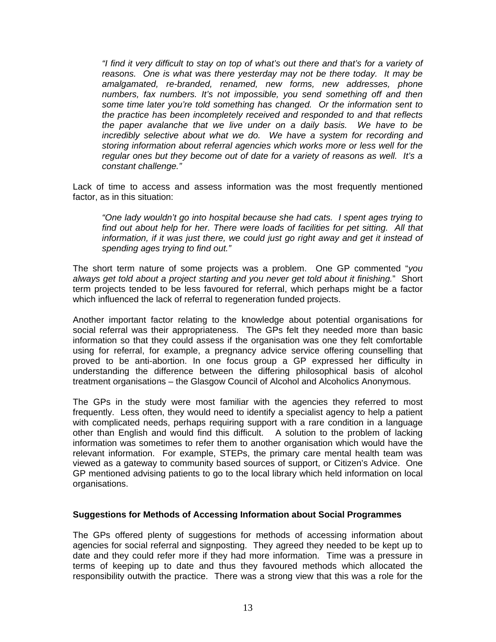*"I find it very difficult to stay on top of what's out there and that's for a variety of reasons. One is what was there yesterday may not be there today. It may be amalgamated, re-branded, renamed, new forms, new addresses, phone numbers, fax numbers. It's not impossible, you send something off and then some time later you're told something has changed. Or the information sent to the practice has been incompletely received and responded to and that reflects the paper avalanche that we live under on a daily basis. We have to be incredibly selective about what we do. We have a system for recording and storing information about referral agencies which works more or less well for the regular ones but they become out of date for a variety of reasons as well. It's a constant challenge."* 

Lack of time to access and assess information was the most frequently mentioned factor, as in this situation:

*"One lady wouldn't go into hospital because she had cats. I spent ages trying to find out about help for her. There were loads of facilities for pet sitting. All that information, if it was just there, we could just go right away and get it instead of spending ages trying to find out."* 

The short term nature of some projects was a problem. One GP commented "*you always get told about a project starting and you never get told about it finishing.*" Short term projects tended to be less favoured for referral, which perhaps might be a factor which influenced the lack of referral to regeneration funded projects.

Another important factor relating to the knowledge about potential organisations for social referral was their appropriateness. The GPs felt they needed more than basic information so that they could assess if the organisation was one they felt comfortable using for referral, for example, a pregnancy advice service offering counselling that proved to be anti-abortion. In one focus group a GP expressed her difficulty in understanding the difference between the differing philosophical basis of alcohol treatment organisations – the Glasgow Council of Alcohol and Alcoholics Anonymous.

The GPs in the study were most familiar with the agencies they referred to most frequently. Less often, they would need to identify a specialist agency to help a patient with complicated needs, perhaps requiring support with a rare condition in a language other than English and would find this difficult. A solution to the problem of lacking information was sometimes to refer them to another organisation which would have the relevant information. For example, STEPs, the primary care mental health team was viewed as a gateway to community based sources of support, or Citizen's Advice. One GP mentioned advising patients to go to the local library which held information on local organisations.

#### **Suggestions for Methods of Accessing Information about Social Programmes**

The GPs offered plenty of suggestions for methods of accessing information about agencies for social referral and signposting. They agreed they needed to be kept up to date and they could refer more if they had more information. Time was a pressure in terms of keeping up to date and thus they favoured methods which allocated the responsibility outwith the practice. There was a strong view that this was a role for the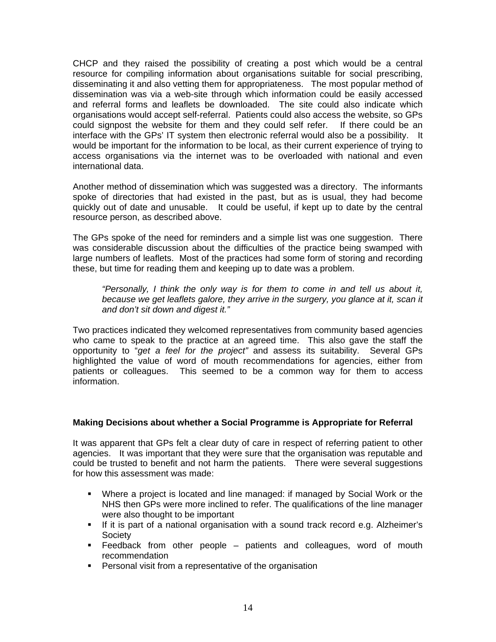CHCP and they raised the possibility of creating a post which would be a central resource for compiling information about organisations suitable for social prescribing, disseminating it and also vetting them for appropriateness. The most popular method of dissemination was via a web-site through which information could be easily accessed and referral forms and leaflets be downloaded. The site could also indicate which organisations would accept self-referral. Patients could also access the website, so GPs could signpost the website for them and they could self refer. If there could be an interface with the GPs' IT system then electronic referral would also be a possibility. It would be important for the information to be local, as their current experience of trying to access organisations via the internet was to be overloaded with national and even international data.

Another method of dissemination which was suggested was a directory. The informants spoke of directories that had existed in the past, but as is usual, they had become quickly out of date and unusable. It could be useful, if kept up to date by the central resource person, as described above.

The GPs spoke of the need for reminders and a simple list was one suggestion. There was considerable discussion about the difficulties of the practice being swamped with large numbers of leaflets. Most of the practices had some form of storing and recording these, but time for reading them and keeping up to date was a problem.

*"Personally, I think the only way is for them to come in and tell us about it,*  because we get leaflets galore, they arrive in the surgery, you glance at it, scan it *and don't sit down and digest it."* 

Two practices indicated they welcomed representatives from community based agencies who came to speak to the practice at an agreed time. This also gave the staff the opportunity to "*get a feel for the project"* and assess its suitability. Several GPs highlighted the value of word of mouth recommendations for agencies, either from patients or colleagues. This seemed to be a common way for them to access information.

#### **Making Decisions about whether a Social Programme is Appropriate for Referral**

It was apparent that GPs felt a clear duty of care in respect of referring patient to other agencies. It was important that they were sure that the organisation was reputable and could be trusted to benefit and not harm the patients. There were several suggestions for how this assessment was made:

- Where a project is located and line managed: if managed by Social Work or the NHS then GPs were more inclined to refer. The qualifications of the line manager were also thought to be important
- If it is part of a national organisation with a sound track record e.g. Alzheimer's Society
- Feedback from other people patients and colleagues, word of mouth recommendation
- **Personal visit from a representative of the organisation**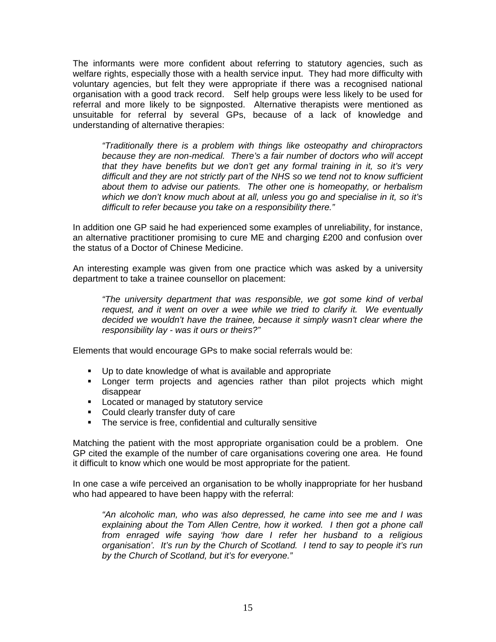The informants were more confident about referring to statutory agencies, such as welfare rights, especially those with a health service input. They had more difficulty with voluntary agencies, but felt they were appropriate if there was a recognised national organisation with a good track record. Self help groups were less likely to be used for referral and more likely to be signposted. Alternative therapists were mentioned as unsuitable for referral by several GPs, because of a lack of knowledge and understanding of alternative therapies:

*"Traditionally there is a problem with things like osteopathy and chiropractors because they are non-medical. There's a fair number of doctors who will accept that they have benefits but we don't get any formal training in it, so it's very difficult and they are not strictly part of the NHS so we tend not to know sufficient about them to advise our patients. The other one is homeopathy, or herbalism which we don't know much about at all, unless you go and specialise in it, so it's difficult to refer because you take on a responsibility there."* 

In addition one GP said he had experienced some examples of unreliability, for instance, an alternative practitioner promising to cure ME and charging £200 and confusion over the status of a Doctor of Chinese Medicine.

An interesting example was given from one practice which was asked by a university department to take a trainee counsellor on placement:

*"The university department that was responsible, we got some kind of verbal request, and it went on over a wee while we tried to clarify it. We eventually decided we wouldn't have the trainee, because it simply wasn't clear where the responsibility lay - was it ours or theirs?"* 

Elements that would encourage GPs to make social referrals would be:

- Up to date knowledge of what is available and appropriate
- **EXTE:** Longer term projects and agencies rather than pilot projects which might disappear
- **Located or managed by statutory service**
- **Could clearly transfer duty of care**
- **The service is free, confidential and culturally sensitive**

Matching the patient with the most appropriate organisation could be a problem. One GP cited the example of the number of care organisations covering one area. He found it difficult to know which one would be most appropriate for the patient.

In one case a wife perceived an organisation to be wholly inappropriate for her husband who had appeared to have been happy with the referral:

*"An alcoholic man, who was also depressed, he came into see me and I was*  explaining about the Tom Allen Centre, how it worked. I then got a phone call *from enraged wife saying 'how dare I refer her husband to a religious organisation'. It's run by the Church of Scotland. I tend to say to people it's run by the Church of Scotland, but it's for everyone."*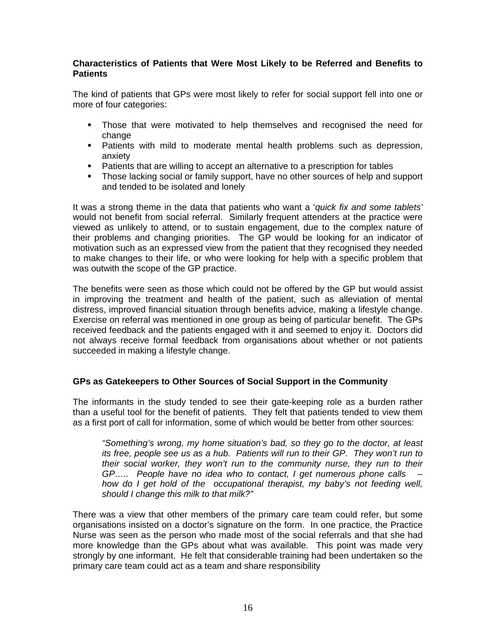#### **Characteristics of Patients that Were Most Likely to be Referred and Benefits to Patients**

The kind of patients that GPs were most likely to refer for social support fell into one or more of four categories:

- Those that were motivated to help themselves and recognised the need for change
- **Patients with mild to moderate mental health problems such as depression,** anxiety
- **Patients that are willing to accept an alternative to a prescription for tables**
- Those lacking social or family support, have no other sources of help and support and tended to be isolated and lonely

It was a strong theme in the data that patients who want a '*quick fix and some tablets'* would not benefit from social referral. Similarly frequent attenders at the practice were viewed as unlikely to attend, or to sustain engagement, due to the complex nature of their problems and changing priorities. The GP would be looking for an indicator of motivation such as an expressed view from the patient that they recognised they needed to make changes to their life, or who were looking for help with a specific problem that was outwith the scope of the GP practice.

The benefits were seen as those which could not be offered by the GP but would assist in improving the treatment and health of the patient, such as alleviation of mental distress, improved financial situation through benefits advice, making a lifestyle change. Exercise on referral was mentioned in one group as being of particular benefit. The GPs received feedback and the patients engaged with it and seemed to enjoy it. Doctors did not always receive formal feedback from organisations about whether or not patients succeeded in making a lifestyle change.

#### **GPs as Gatekeepers to Other Sources of Social Support in the Community**

The informants in the study tended to see their gate-keeping role as a burden rather than a useful tool for the benefit of patients. They felt that patients tended to view them as a first port of call for information, some of which would be better from other sources:

*"Something's wrong, my home situation's bad, so they go to the doctor, at least its free, people see us as a hub. Patients will run to their GP. They won't run to their social worker, they won't run to the community nurse, they run to their GP….. People have no idea who to contact, I get numerous phone calls – how do I get hold of the occupational therapist, my baby's not feeding well, should I change this milk to that milk?"* 

There was a view that other members of the primary care team could refer, but some organisations insisted on a doctor's signature on the form. In one practice, the Practice Nurse was seen as the person who made most of the social referrals and that she had more knowledge than the GPs about what was available. This point was made very strongly by one informant. He felt that considerable training had been undertaken so the primary care team could act as a team and share responsibility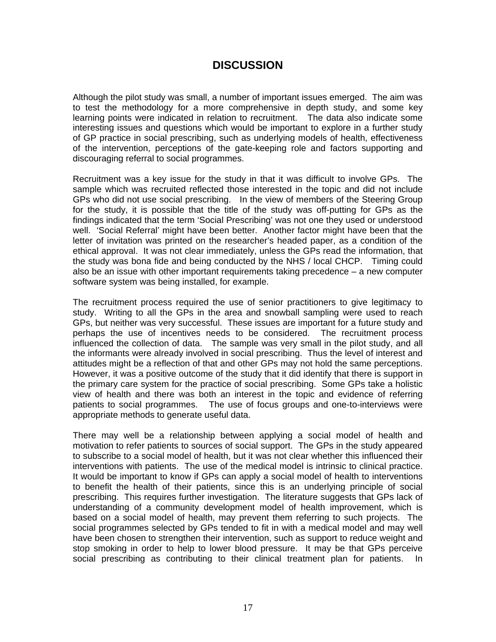## **DISCUSSION**

Although the pilot study was small, a number of important issues emerged. The aim was to test the methodology for a more comprehensive in depth study, and some key learning points were indicated in relation to recruitment. The data also indicate some interesting issues and questions which would be important to explore in a further study of GP practice in social prescribing, such as underlying models of health, effectiveness of the intervention, perceptions of the gate-keeping role and factors supporting and discouraging referral to social programmes.

Recruitment was a key issue for the study in that it was difficult to involve GPs. The sample which was recruited reflected those interested in the topic and did not include GPs who did not use social prescribing. In the view of members of the Steering Group for the study, it is possible that the title of the study was off-putting for GPs as the findings indicated that the term 'Social Prescribing' was not one they used or understood well. 'Social Referral' might have been better. Another factor might have been that the letter of invitation was printed on the researcher's headed paper, as a condition of the ethical approval. It was not clear immediately, unless the GPs read the information, that the study was bona fide and being conducted by the NHS / local CHCP. Timing could also be an issue with other important requirements taking precedence – a new computer software system was being installed, for example.

The recruitment process required the use of senior practitioners to give legitimacy to study. Writing to all the GPs in the area and snowball sampling were used to reach GPs, but neither was very successful. These issues are important for a future study and perhaps the use of incentives needs to be considered. The recruitment process influenced the collection of data. The sample was very small in the pilot study, and all the informants were already involved in social prescribing. Thus the level of interest and attitudes might be a reflection of that and other GPs may not hold the same perceptions. However, it was a positive outcome of the study that it did identify that there is support in the primary care system for the practice of social prescribing. Some GPs take a holistic view of health and there was both an interest in the topic and evidence of referring patients to social programmes. The use of focus groups and one-to-interviews were appropriate methods to generate useful data.

There may well be a relationship between applying a social model of health and motivation to refer patients to sources of social support. The GPs in the study appeared to subscribe to a social model of health, but it was not clear whether this influenced their interventions with patients. The use of the medical model is intrinsic to clinical practice. It would be important to know if GPs can apply a social model of health to interventions to benefit the health of their patients, since this is an underlying principle of social prescribing. This requires further investigation. The literature suggests that GPs lack of understanding of a community development model of health improvement, which is based on a social model of health, may prevent them referring to such projects. The social programmes selected by GPs tended to fit in with a medical model and may well have been chosen to strengthen their intervention, such as support to reduce weight and stop smoking in order to help to lower blood pressure. It may be that GPs perceive social prescribing as contributing to their clinical treatment plan for patients.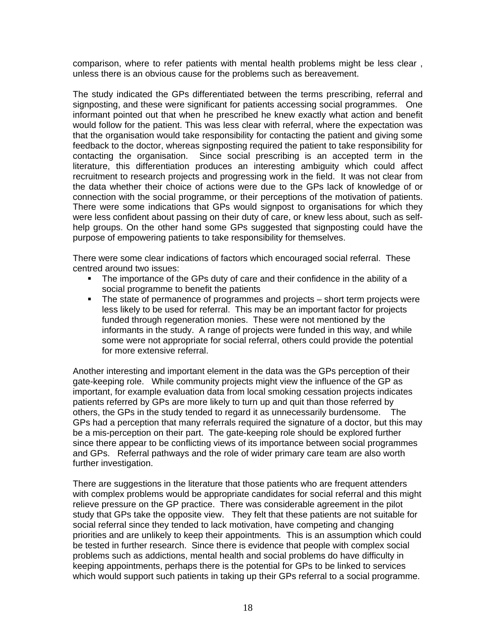comparison, where to refer patients with mental health problems might be less clear , unless there is an obvious cause for the problems such as bereavement.

The study indicated the GPs differentiated between the terms prescribing, referral and signposting, and these were significant for patients accessing social programmes. One informant pointed out that when he prescribed he knew exactly what action and benefit would follow for the patient. This was less clear with referral, where the expectation was that the organisation would take responsibility for contacting the patient and giving some feedback to the doctor, whereas signposting required the patient to take responsibility for contacting the organisation. Since social prescribing is an accepted term in the literature, this differentiation produces an interesting ambiguity which could affect recruitment to research projects and progressing work in the field. It was not clear from the data whether their choice of actions were due to the GPs lack of knowledge of or connection with the social programme, or their perceptions of the motivation of patients. There were some indications that GPs would signpost to organisations for which they were less confident about passing on their duty of care, or knew less about, such as selfhelp groups. On the other hand some GPs suggested that signposting could have the purpose of empowering patients to take responsibility for themselves.

There were some clear indications of factors which encouraged social referral. These centred around two issues:

- The importance of the GPs duty of care and their confidence in the ability of a social programme to benefit the patients
- The state of permanence of programmes and projects short term projects were less likely to be used for referral. This may be an important factor for projects funded through regeneration monies. These were not mentioned by the informants in the study. A range of projects were funded in this way, and while some were not appropriate for social referral, others could provide the potential for more extensive referral.

Another interesting and important element in the data was the GPs perception of their gate-keeping role. While community projects might view the influence of the GP as important, for example evaluation data from local smoking cessation projects indicates patients referred by GPs are more likely to turn up and quit than those referred by others, the GPs in the study tended to regard it as unnecessarily burdensome. The GPs had a perception that many referrals required the signature of a doctor, but this may be a mis-perception on their part. The gate-keeping role should be explored further since there appear to be conflicting views of its importance between social programmes and GPs. Referral pathways and the role of wider primary care team are also worth further investigation.

There are suggestions in the literature that those patients who are frequent attenders with complex problems would be appropriate candidates for social referral and this might relieve pressure on the GP practice. There was considerable agreement in the pilot study that GPs take the opposite view. They felt that these patients are not suitable for social referral since they tended to lack motivation, have competing and changing priorities and are unlikely to keep their appointments*.* This is an assumption which could be tested in further research. Since there is evidence that people with complex social problems such as addictions, mental health and social problems do have difficulty in keeping appointments, perhaps there is the potential for GPs to be linked to services which would support such patients in taking up their GPs referral to a social programme.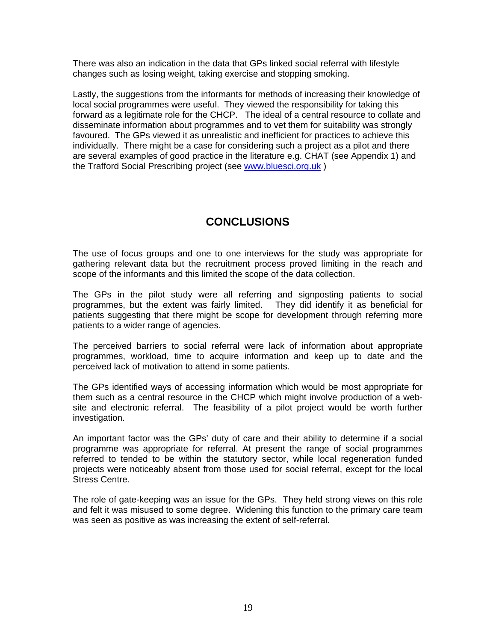There was also an indication in the data that GPs linked social referral with lifestyle changes such as losing weight, taking exercise and stopping smoking.

Lastly, the suggestions from the informants for methods of increasing their knowledge of local social programmes were useful. They viewed the responsibility for taking this forward as a legitimate role for the CHCP. The ideal of a central resource to collate and disseminate information about programmes and to vet them for suitability was strongly favoured. The GPs viewed it as unrealistic and inefficient for practices to achieve this individually. There might be a case for considering such a project as a pilot and there are several examples of good practice in the literature e.g. CHAT (see Appendix 1) and the Trafford Social Prescribing project (see [www.bluesci.org.uk](http://www.bluesci.org.uk/) )

# **CONCLUSIONS**

The use of focus groups and one to one interviews for the study was appropriate for gathering relevant data but the recruitment process proved limiting in the reach and scope of the informants and this limited the scope of the data collection.

The GPs in the pilot study were all referring and signposting patients to social programmes, but the extent was fairly limited. They did identify it as beneficial for patients suggesting that there might be scope for development through referring more patients to a wider range of agencies.

The perceived barriers to social referral were lack of information about appropriate programmes, workload, time to acquire information and keep up to date and the perceived lack of motivation to attend in some patients.

The GPs identified ways of accessing information which would be most appropriate for them such as a central resource in the CHCP which might involve production of a website and electronic referral. The feasibility of a pilot project would be worth further investigation.

An important factor was the GPs' duty of care and their ability to determine if a social programme was appropriate for referral. At present the range of social programmes referred to tended to be within the statutory sector, while local regeneration funded projects were noticeably absent from those used for social referral, except for the local Stress Centre.

The role of gate-keeping was an issue for the GPs. They held strong views on this role and felt it was misused to some degree. Widening this function to the primary care team was seen as positive as was increasing the extent of self-referral.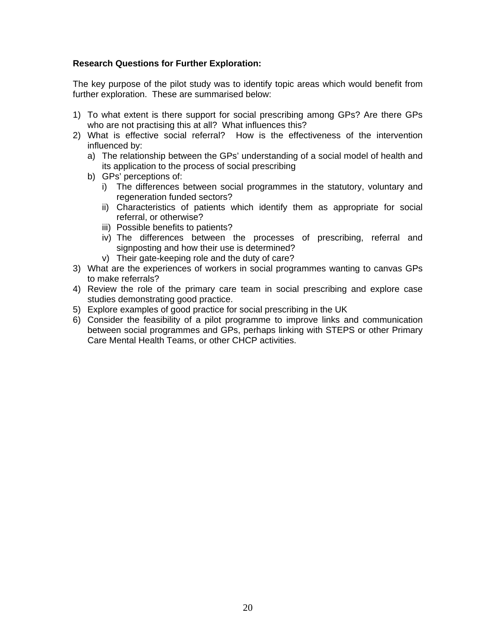#### **Research Questions for Further Exploration:**

The key purpose of the pilot study was to identify topic areas which would benefit from further exploration. These are summarised below:

- 1) To what extent is there support for social prescribing among GPs? Are there GPs who are not practising this at all? What influences this?
- 2) What is effective social referral? How is the effectiveness of the intervention influenced by:
	- a) The relationship between the GPs' understanding of a social model of health and its application to the process of social prescribing
	- b) GPs' perceptions of:
		- i) The differences between social programmes in the statutory, voluntary and regeneration funded sectors?
		- ii) Characteristics of patients which identify them as appropriate for social referral, or otherwise?
		- iii) Possible benefits to patients?
		- iv) The differences between the processes of prescribing, referral and signposting and how their use is determined?
		- v) Their gate-keeping role and the duty of care?
- 3) What are the experiences of workers in social programmes wanting to canvas GPs to make referrals?
- 4) Review the role of the primary care team in social prescribing and explore case studies demonstrating good practice.
- 5) Explore examples of good practice for social prescribing in the UK
- 6) Consider the feasibility of a pilot programme to improve links and communication between social programmes and GPs, perhaps linking with STEPS or other Primary Care Mental Health Teams, or other CHCP activities.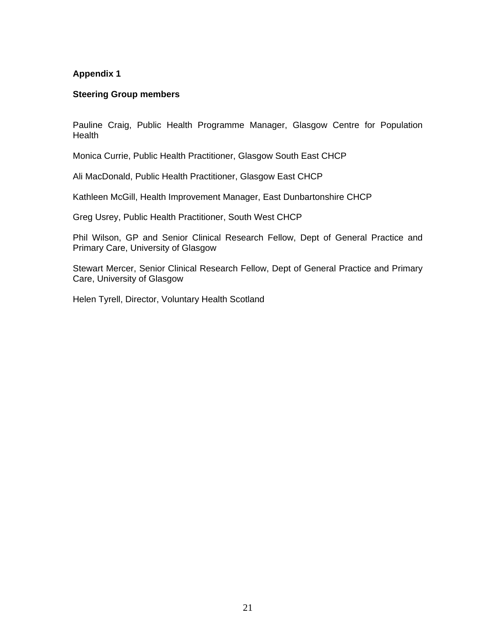#### **Steering Group members**

Pauline Craig, Public Health Programme Manager, Glasgow Centre for Population Health

Monica Currie, Public Health Practitioner, Glasgow South East CHCP

Ali MacDonald, Public Health Practitioner, Glasgow East CHCP

Kathleen McGill, Health Improvement Manager, East Dunbartonshire CHCP

Greg Usrey, Public Health Practitioner, South West CHCP

Phil Wilson, GP and Senior Clinical Research Fellow, Dept of General Practice and Primary Care, University of Glasgow

Stewart Mercer, Senior Clinical Research Fellow, Dept of General Practice and Primary Care, University of Glasgow

Helen Tyrell, Director, Voluntary Health Scotland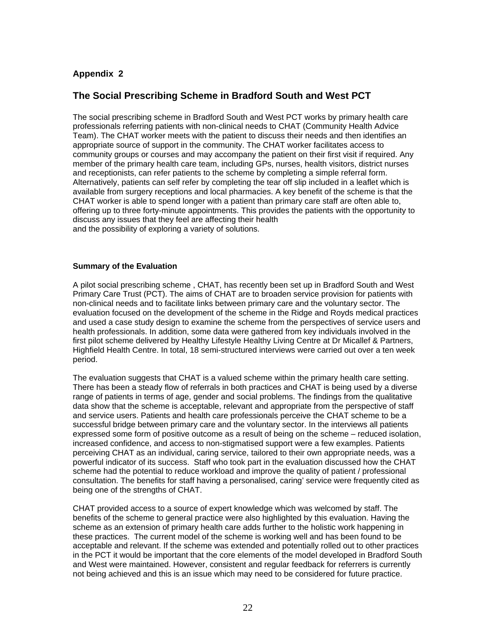### **The Social Prescribing Scheme in Bradford South and West PCT**

The social prescribing scheme in Bradford South and West PCT works by primary health care professionals referring patients with non-clinical needs to CHAT (Community Health Advice Team). The CHAT worker meets with the patient to discuss their needs and then identifies an appropriate source of support in the community. The CHAT worker facilitates access to community groups or courses and may accompany the patient on their first visit if required. Any member of the primary health care team, including GPs, nurses, health visitors, district nurses and receptionists, can refer patients to the scheme by completing a simple referral form. Alternatively, patients can self refer by completing the tear off slip included in a leaflet which is available from surgery receptions and local pharmacies. A key benefit of the scheme is that the CHAT worker is able to spend longer with a patient than primary care staff are often able to, offering up to three forty-minute appointments. This provides the patients with the opportunity to discuss any issues that they feel are affecting their health and the possibility of exploring a variety of solutions.

#### **Summary of the Evaluation**

A pilot social prescribing scheme , CHAT, has recently been set up in Bradford South and West Primary Care Trust (PCT). The aims of CHAT are to broaden service provision for patients with non-clinical needs and to facilitate links between primary care and the voluntary sector. The evaluation focused on the development of the scheme in the Ridge and Royds medical practices and used a case study design to examine the scheme from the perspectives of service users and health professionals. In addition, some data were gathered from key individuals involved in the first pilot scheme delivered by Healthy Lifestyle Healthy Living Centre at Dr Micallef & Partners, Highfield Health Centre. In total, 18 semi-structured interviews were carried out over a ten week period.

The evaluation suggests that CHAT is a valued scheme within the primary health care setting. There has been a steady flow of referrals in both practices and CHAT is being used by a diverse range of patients in terms of age, gender and social problems. The findings from the qualitative data show that the scheme is acceptable, relevant and appropriate from the perspective of staff and service users. Patients and health care professionals perceive the CHAT scheme to be a successful bridge between primary care and the voluntary sector. In the interviews all patients expressed some form of positive outcome as a result of being on the scheme – reduced isolation, increased confidence, and access to non-stigmatised support were a few examples. Patients perceiving CHAT as an individual, caring service, tailored to their own appropriate needs, was a powerful indicator of its success. Staff who took part in the evaluation discussed how the CHAT scheme had the potential to reduce workload and improve the quality of patient / professional consultation. The benefits for staff having a personalised, caring' service were frequently cited as being one of the strengths of CHAT.

CHAT provided access to a source of expert knowledge which was welcomed by staff. The benefits of the scheme to general practice were also highlighted by this evaluation. Having the scheme as an extension of primary health care adds further to the holistic work happening in these practices. The current model of the scheme is working well and has been found to be acceptable and relevant. If the scheme was extended and potentially rolled out to other practices in the PCT it would be important that the core elements of the model developed in Bradford South and West were maintained. However, consistent and regular feedback for referrers is currently not being achieved and this is an issue which may need to be considered for future practice.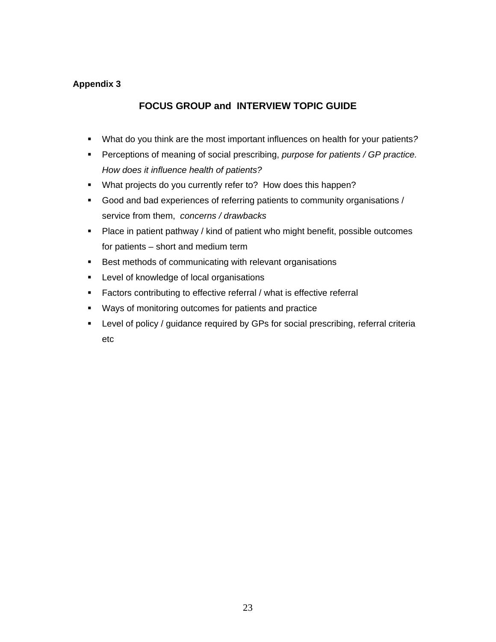### **FOCUS GROUP and INTERVIEW TOPIC GUIDE**

- What do you think are the most important influences on health for your patients*?*
- Perceptions of meaning of social prescribing, *purpose for patients / GP practice. How does it influence health of patients?*
- **What projects do you currently refer to? How does this happen?**
- Good and bad experiences of referring patients to community organisations / service from them, *concerns / drawbacks*
- **Place in patient pathway / kind of patient who might benefit, possible outcomes** for patients – short and medium term
- Best methods of communicating with relevant organisations
- **Level of knowledge of local organisations**
- **Factors contributing to effective referral / what is effective referral**
- Ways of monitoring outcomes for patients and practice
- Level of policy / guidance required by GPs for social prescribing, referral criteria etc